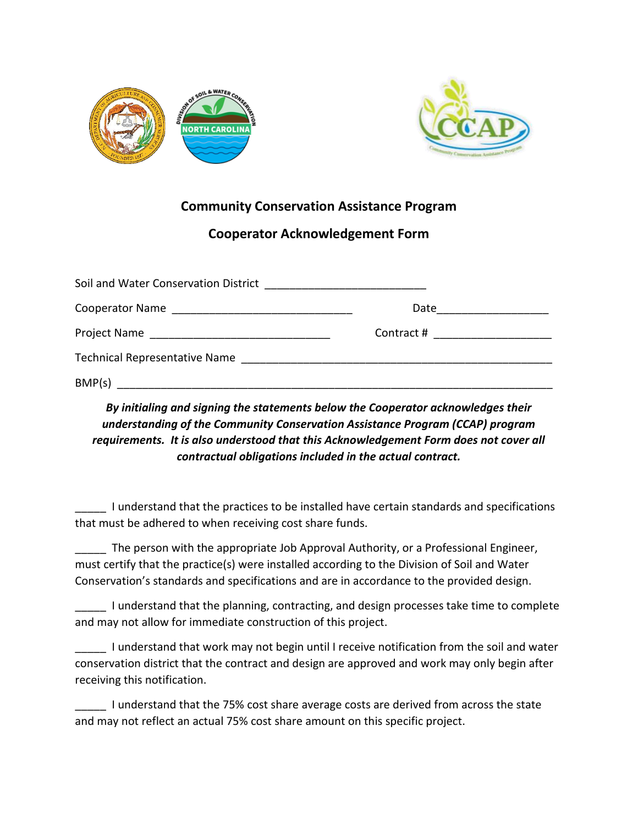



## **Community Conservation Assistance Program**

## **Cooperator Acknowledgement Form**

|        | Date <u>__________</u>          |
|--------|---------------------------------|
|        | Contract # ____________________ |
|        |                                 |
| BMP(s) |                                 |

## *By initialing and signing the statements below the Cooperator acknowledges their understanding of the Community Conservation Assistance Program (CCAP) program requirements. It is also understood that this Acknowledgement Form does not cover all contractual obligations included in the actual contract.*

I understand that the practices to be installed have certain standards and specifications that must be adhered to when receiving cost share funds.

The person with the appropriate Job Approval Authority, or a Professional Engineer, must certify that the practice(s) were installed according to the Division of Soil and Water Conservation's standards and specifications and are in accordance to the provided design.

\_\_\_\_\_ I understand that the planning, contracting, and design processes take time to complete and may not allow for immediate construction of this project.

I understand that work may not begin until I receive notification from the soil and water conservation district that the contract and design are approved and work may only begin after receiving this notification.

I understand that the 75% cost share average costs are derived from across the state and may not reflect an actual 75% cost share amount on this specific project.